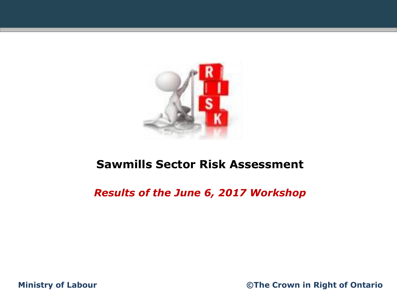

### **Sawmills Sector Risk Assessment**

### *Results of the June 6, 2017 Workshop*

**Ministry of Labour ©The Crown in Right of Ontario**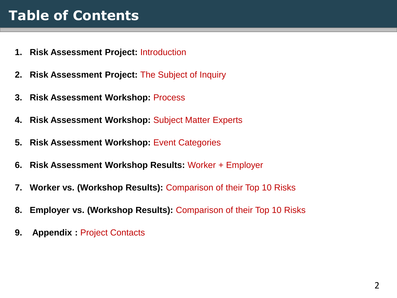# **Table of Contents**

- **1. Risk Assessment Project:** Introduction
- **2. Risk Assessment Project:** The Subject of Inquiry
- **3. Risk Assessment Workshop:** Process
- **4. Risk Assessment Workshop:** Subject Matter Experts
- **5. Risk Assessment Workshop:** Event Categories
- **6. Risk Assessment Workshop Results:** Worker + Employer
- **7. Worker vs. (Workshop Results):** Comparison of their Top 10 Risks
- **8. Employer vs. (Workshop Results):** Comparison of their Top 10 Risks
- **9. Appendix :** Project Contacts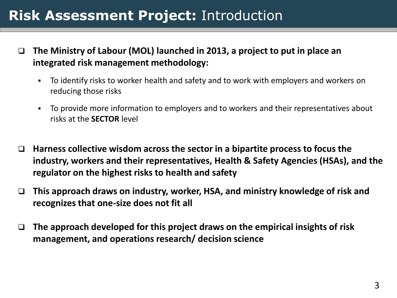## **Risk Assessment Project:** Introduction

- **The Ministry of Labour (MOL) launched in 2013, a project to put in place an integrated risk management methodology:**
	- To identify risks to worker health and safety and to work with employers and workers on reducing those risks
	- To provide more information to employers and to workers and their representatives about risks at the **SECTOR** level
- **Harness collective wisdom across the sector in a bipartite process to focus the industry, workers and their representatives, Health & Safety Agencies (HSAs), and the regulator on the highest risks to health and safety**
- **This approach draws on industry, worker, HSA, and ministry knowledge of risk and recognizes that one-size does not fit all**
- **The approach developed for this project draws on the empirical insights of risk management, and operations research/ decision science**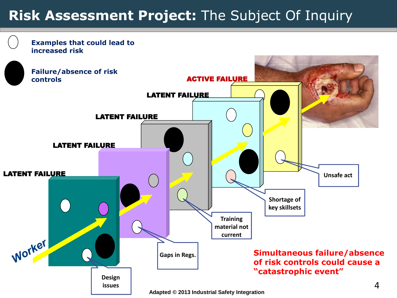# **Risk Assessment Project:** The Subject Of Inquiry

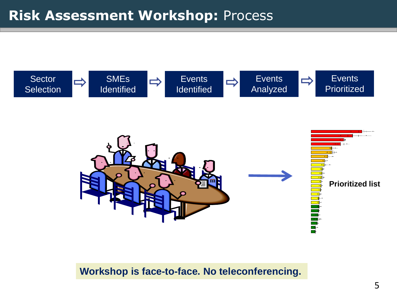



### **Workshop is face-to-face. No teleconferencing.**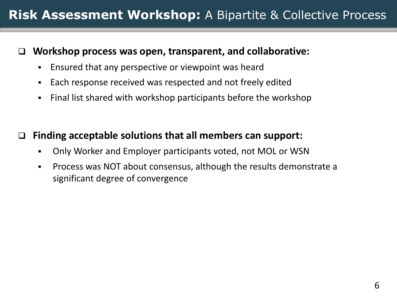### **Workshop process was open, transparent, and collaborative:**

- Ensured that any perspective or viewpoint was heard
- Each response received was respected and not freely edited
- Final list shared with workshop participants before the workshop

### **Finding acceptable solutions that all members can support:**

- Only Worker and Employer participants voted, not MOL or WSN
- Process was NOT about consensus, although the results demonstrate a significant degree of convergence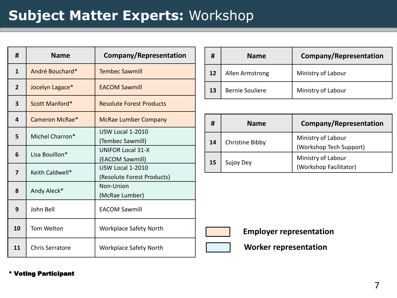### **Subject Matter Experts:** Workshop

| #              | <b>Name</b>     | <b>Company/Representation</b>                         |  |  |  |
|----------------|-----------------|-------------------------------------------------------|--|--|--|
| $\mathbf{1}$   | André Bouchard* | <b>Tembec Sawmill</b>                                 |  |  |  |
| $\overline{2}$ | Jocelyn Lagace* | <b>FACOM Sawmill</b>                                  |  |  |  |
| 3              | Scott Manford*  | <b>Resolute Forest Products</b>                       |  |  |  |
| 4              | Cameron McRae*  | <b>McRae Lumber Company</b>                           |  |  |  |
| 5              | Michel Charron* | <b>USW Local 1-2010</b><br>(Tembec Sawmill)           |  |  |  |
| 6              | Lisa Bouillon*  | <b>UNIFOR Local 31-X</b><br>(EACOM Sawmill)           |  |  |  |
| 7              | Keith Caldwell* | <b>USW Local 1-2010</b><br>(Resolute Forest Products) |  |  |  |
| 8              | Andy Aleck*     | Non-Union<br>(McRae Lumber)                           |  |  |  |
| 9              | John Bell       | <b>EACOM Sawmill</b>                                  |  |  |  |
| 10             | Tom Welton      | <b>Workplace Safety North</b>                         |  |  |  |
| 11             | Chris Serratore | <b>Workplace Safety North</b>                         |  |  |  |

| #                 | <b>Name</b>     | Company/Representation |
|-------------------|-----------------|------------------------|
| $12 \overline{ }$ | Allen Armstrong | Ministry of Labour     |
| 13                | Bernie Souliere | Ministry of Labour     |

| #  | <b>Name</b>                                                      | Company/Representation                       |  |  |
|----|------------------------------------------------------------------|----------------------------------------------|--|--|
| 14 | Ministry of Labour<br>Christine Bibby<br>(Workshop Tech Support) |                                              |  |  |
| 15 | Sujoy Dey                                                        | Ministry of Labour<br>(Workshop Facilitator) |  |  |



**Employer representation**

**Worker representation**

#### \* Voting Participant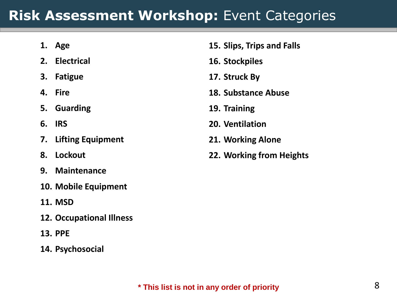## **Risk Assessment Workshop:** Event Categories

- **1. Age**
- **2. Electrical**
- **3. Fatigue**
- **4. Fire**
- **5. Guarding**
- **6. IRS**
- **7. Lifting Equipment**
- **8. Lockout**
- **9. Maintenance**
- **10. Mobile Equipment**
- **11. MSD**
- **12. Occupational Illness**
- **13. PPE**
- **14. Psychosocial**
- **15. Slips, Trips and Falls**
- **16. Stockpiles**
- **17. Struck By**
- **18. Substance Abuse**
- **19. Training**
- **20. Ventilation**
- **21. Working Alone**
- **22. Working from Heights**

### **\* This list is not in any order of priority**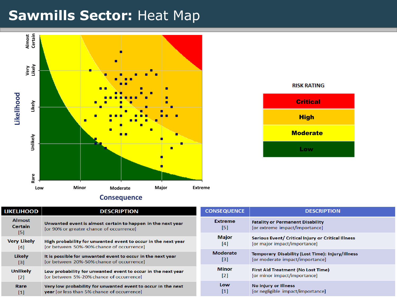### **Sawmills Sector:** Heat Map





| <b>Consequence</b> |  |
|--------------------|--|
|--------------------|--|

| <b>LIKELIHOOD</b>                      | <b>DESCRIPTION</b>                                                                                                 | CO |
|----------------------------------------|--------------------------------------------------------------------------------------------------------------------|----|
| <b>Almost</b><br><b>Certain</b><br>[5] | Unwanted event is almost certain to happen in the next year<br>[or 90% or greater chance of occurrence]            |    |
| <b>Very Likely</b><br>[4]              | High probability for unwanted event to occur in the next year<br>[or between 50%-90% chance of occurrence]         |    |
| Likely<br>[3]                          | It is possible for unwanted event to occur in the next year<br>[or between 20%-50% chance of occurrence]           |    |
| Unlikely<br>$\lceil 2 \rceil$          | Low probability for unwanted event to occur in the next year<br>[or between 5%-20% chance of occurrence]           |    |
| Rare<br>[1]                            | Very low probability for unwanted event to occur in the next<br><b>year</b> for less than 5% chance of occurrence] |    |

| <b>CONSEQUENCE</b> | <b>DESCRIPTION</b>                                      |
|--------------------|---------------------------------------------------------|
| <b>Extreme</b>     | <b>Fatality or Permanent Disability</b>                 |
| [5]                | [or extreme impact/importance]                          |
| <b>Major</b>       | Serious Event/ Critical Injury or Critical Illness      |
| [4]                | for major impact/importancel                            |
| <b>Moderate</b>    | <b>Temporary Disability (Lost Time): Injury/Illness</b> |
| [3]                | [or moderate impact/importance]                         |
| <b>Minor</b>       | <b>First Aid Treatment (No Lost Time)</b>               |
| $\lceil 2 \rceil$  | [or minor impact/importance]                            |
| Low                | No injury or Illness                                    |
| $\lceil 1 \rceil$  | [or negligible impact/importance]                       |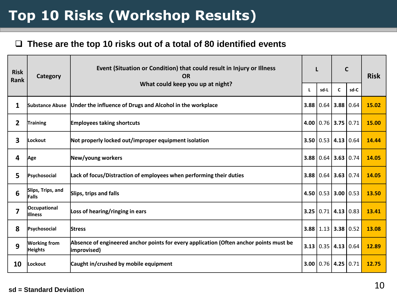# **Top 10 Risks (Workshop Results)**

### **These are the top 10 risks out of a total of 80 identified events**

| <b>Risk</b><br><b>Rank</b> | Category                              | Event (Situation or Condition) that could result in Injury or Illness<br><b>OR</b><br>What could keep you up at night?                    | L |                             | $\mathbf C$      |      | <b>Risk</b> |
|----------------------------|---------------------------------------|-------------------------------------------------------------------------------------------------------------------------------------------|---|-----------------------------|------------------|------|-------------|
|                            |                                       |                                                                                                                                           |   | sd-L                        | C                | sd-C |             |
| 1                          | Substance Abuse                       | Under the influence of Drugs and Alcohol in the workplace                                                                                 |   | 3.88 0.64                   | 3.88             | 0.64 | 15.02       |
| 2                          | <b>Training</b>                       | <b>Employees taking shortcuts</b>                                                                                                         |   | $4.00$   0.76   3.75   0.71 |                  |      | 15.00       |
| 3                          | lLockout                              | Not properly locked out/improper equipment isolation                                                                                      |   | 3.50   0.53                 | $4.13 \mid 0.64$ |      | 14.44       |
| 4                          | Age                                   | New/young workers<br>$3.88$   0.64   3.63   0.74                                                                                          |   |                             |                  |      | 14.05       |
| 5                          | Psychosocial                          | Lack of focus/Distraction of employees when performing their duties                                                                       |   | $3.88$   0.64   3.63   0.74 |                  |      | 14.05       |
| 6                          | Slips, Trips, and<br>Falls            | Slips, trips and falls<br>4.50 $\mid$ 0.53<br>3.00   0.53                                                                                 |   |                             |                  |      | 13.50       |
| 7                          | Occupational<br>lllness               | Loss of hearing/ringing in ears                                                                                                           |   | 3.25   0.71                 | 4.13 0.83        |      | 13.41       |
| 8                          | Psychosocial                          | 3.38 0.52<br>$3.88$   1.13  <br><b>Stress</b>                                                                                             |   |                             |                  |      | 13.08       |
| 9                          | <b>Working from</b><br><b>Heights</b> | Absence of engineered anchor points for every application (Often anchor points must be<br>3.13   0.35  <br> 4.13 <br>0.64<br> improvised) |   |                             |                  |      | 12.89       |
| 10                         | Lockout                               | Caught in/crushed by mobile equipment                                                                                                     |   | 3.00   0.76   4.25   0.71   |                  |      | 12.75       |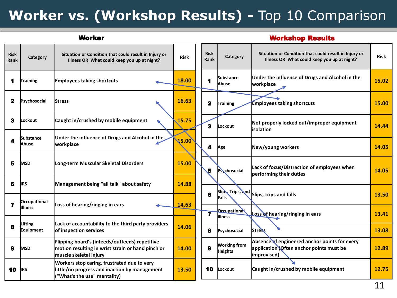# **Worker vs. (Workshop Results) -** Top 10 Comparison

|                     | <b>Worker</b>                  |                                                                                                                                |             |  |                         | <b>Workshop Results</b>                           |                                                                                                         |             |  |  |  |  |
|---------------------|--------------------------------|--------------------------------------------------------------------------------------------------------------------------------|-------------|--|-------------------------|---------------------------------------------------|---------------------------------------------------------------------------------------------------------|-------------|--|--|--|--|
| <b>Risk</b><br>Rank | Category                       | Situation or Condition that could result in Injury or<br>Illness OR What could keep you up at night?                           | <b>Risk</b> |  | <b>Risk</b><br>Rank     | Category                                          | Situation or Condition that could result in Injury or<br>Illness OR What could keep you up at night?    | <b>Risk</b> |  |  |  |  |
| 1                   | Training                       | <b>Employees taking shortcuts</b>                                                                                              | 18.00       |  | 1                       | <b>Substance</b><br>Abuse                         | Under the influence of Drugs and Alcohol in the<br>workplace                                            | 15.02       |  |  |  |  |
| 2                   | Psychosocial                   | <b>Stress</b>                                                                                                                  | 16.63       |  | $\overline{\mathbf{2}}$ | Training                                          | <b>Employees taking shortcuts</b>                                                                       | 15.00       |  |  |  |  |
| 3                   | Lockout                        | Caught in/crushed by mobile equipment                                                                                          | 15.75       |  | 3                       | Lockout                                           | Not properly locked out/improper equipment<br>lisolation                                                | 14.44       |  |  |  |  |
| 4                   | Substance<br>Abuse             | Under the influence of Drugs and Alcohol in the<br>workplace                                                                   | 15.00       |  | 4                       | Age                                               | New/young workers                                                                                       | 14.05       |  |  |  |  |
| 5                   | <b>MSD</b>                     | Long-term Muscular Skeletal Disorders                                                                                          | 15.00       |  | 5                       | Psychosocial                                      | Lack of focus/Distraction of employees when<br>performing their duties                                  | 14.05       |  |  |  |  |
| 6                   | IIRS                           | Management being "all talk" about safety                                                                                       | 14.88       |  |                         |                                                   |                                                                                                         |             |  |  |  |  |
| 7                   | <b>Occupational</b><br>Illness | Loss of hearing/ringing in ears                                                                                                | 14.63       |  | $6\phantom{a}$          | Slips, Trips, and<br>Falls<br><b>Occupational</b> | Slips, trips and falls                                                                                  | 13.50       |  |  |  |  |
|                     |                                |                                                                                                                                |             |  | 7                       | <b>Illness</b>                                    | Loss of hearing/ringing in ears                                                                         | 13.41       |  |  |  |  |
| 8                   | Lifting<br><b>Equipment</b>    | Lack of accountability to the third party providers<br>of inspection services                                                  | 14.06       |  | 8                       | Psychosocial                                      | <b>Stress</b>                                                                                           | 13.08       |  |  |  |  |
| 9                   | <b>MSD</b>                     | Flipping board's (infeeds/outfeeds) repetitive<br>motion resulting in wrist strain or hand pinch or<br>lmuscle skeletal iniurv | 14.00       |  | 9                       | <b>Working from</b><br><b>Heights</b>             | Absence of engineered anchor points for every<br>application Often anchor points must be<br>improvised) | 12.89       |  |  |  |  |
| 10                  | IIRS                           | Workers stop caring, frustrated due to very<br>little/no progress and inaction by management<br>"What's the use" mentality)    | 13.50       |  | 10                      | <b>Lockout</b>                                    | Caught in/crushed by mobile equipment                                                                   | 12.75       |  |  |  |  |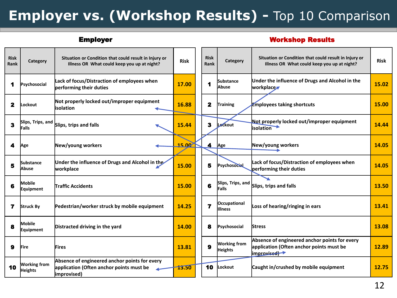# **Employer vs. (Workshop Results) -** Top 10 Comparison

#### Employer Workshop Results

| <b>Risk</b><br>Rank | Category                          | Situation or Condition that could result in Injury or<br>Illness OR What could keep you up at night?     | <b>Risk</b> |  |    | Category                              | Situation or Condition that could result in Injury or<br>Illness OR What could keep you up at night?     | <b>Risk</b> |
|---------------------|-----------------------------------|----------------------------------------------------------------------------------------------------------|-------------|--|----|---------------------------------------|----------------------------------------------------------------------------------------------------------|-------------|
| 1                   | Psychosocial                      | Lack of focus/Distraction of employees when<br>performing their duties                                   | 17.00       |  |    | <b>Substance</b><br><b>Abuse</b>      | Under the influence of Drugs and Alcohol in the<br>workplace                                             | 15.02       |
| 2                   | Lockout                           | Not properly locked out/improper equipment<br>lisolation                                                 | 16.88       |  | 2  | <b>Training</b>                       | <b>Employees taking shortcuts</b>                                                                        | 15.00       |
| 3                   | Slips, Trips, and<br>Falls        | Slips, trips and falls                                                                                   | 15.44       |  | 3  | Lockout                               | Not properly locked out/improper equipment<br><b>isolation</b>                                           | 14.44       |
| 4                   | Age                               | New/young workers                                                                                        | 15.00       |  | 4  | Age                                   | New/young workers                                                                                        | 14.05       |
| 5                   | <b>Substance</b><br>lAbuse        | Under the influence of Drugs and Alcohol in the<br>workplace                                             | 15.00       |  | 5  | <b>Psychosocial</b>                   | Lack of focus/Distraction of employees when<br>performing their duties                                   | 14.05       |
| 6                   | <b>Mobile</b><br><b>Equipment</b> | <b>Traffic Accidents</b>                                                                                 | 15.00       |  | 6  | Slips, Trips, and<br><b>Falls</b>     | Slips, trips and falls                                                                                   | 13.50       |
| 7                   | Struck By                         | Pedestrian/worker struck by mobile equipment                                                             | 14.25       |  | 7  | <b>Occupational</b><br><b>Illness</b> | Loss of hearing/ringing in ears                                                                          | 13.41       |
| 8                   | <b>Mobile</b><br>Equipment        | Distracted driving in the yard                                                                           | 14.00       |  | 8  | Psychosocial                          | <b>Stress</b>                                                                                            | 13.08       |
| 9                   | <b>IFire</b>                      | <b>lFires</b>                                                                                            | 13.81       |  | 9  | <b>Working from</b><br><b>Heights</b> | Absence of engineered anchor points for every<br>application (Often anchor points must be<br>improvised) | 12.89       |
| 10                  | <b>Working from</b><br>Heights    | Absence of engineered anchor points for every<br>application (Often anchor points must be<br>improvised) | 13.50       |  | 10 | Lockout                               | Caught in/crushed by mobile equipment                                                                    | 12.75       |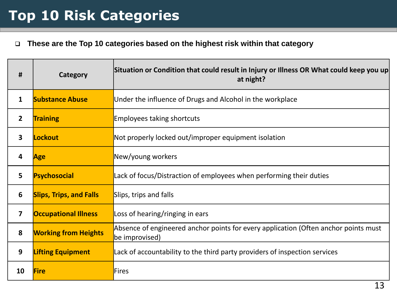#### **These are the Top 10 categories based on the highest risk within that category**

| #            | Category                       | Situation or Condition that could result in Injury or Illness OR What could keep you up<br>at night?  |
|--------------|--------------------------------|-------------------------------------------------------------------------------------------------------|
| $\mathbf{1}$ | <b>Substance Abuse</b>         | Under the influence of Drugs and Alcohol in the workplace                                             |
| $\mathbf{2}$ | <b>Training</b>                | <b>Employees taking shortcuts</b>                                                                     |
| 3            | Lockout                        | Not properly locked out/improper equipment isolation                                                  |
| 4            | Age                            | New/young workers                                                                                     |
| 5            | Psychosocial                   | Lack of focus/Distraction of employees when performing their duties                                   |
| 6            | <b>Slips, Trips, and Falls</b> | Slips, trips and falls                                                                                |
| 7            | <b>Occupational Illness</b>    | Loss of hearing/ringing in ears                                                                       |
| 8            | <b>Working from Heights</b>    | Absence of engineered anchor points for every application (Often anchor points must<br>be improvised) |
| 9            | <b>Lifting Equipment</b>       | Lack of accountability to the third party providers of inspection services                            |
| 10           | Fire                           | Fires                                                                                                 |